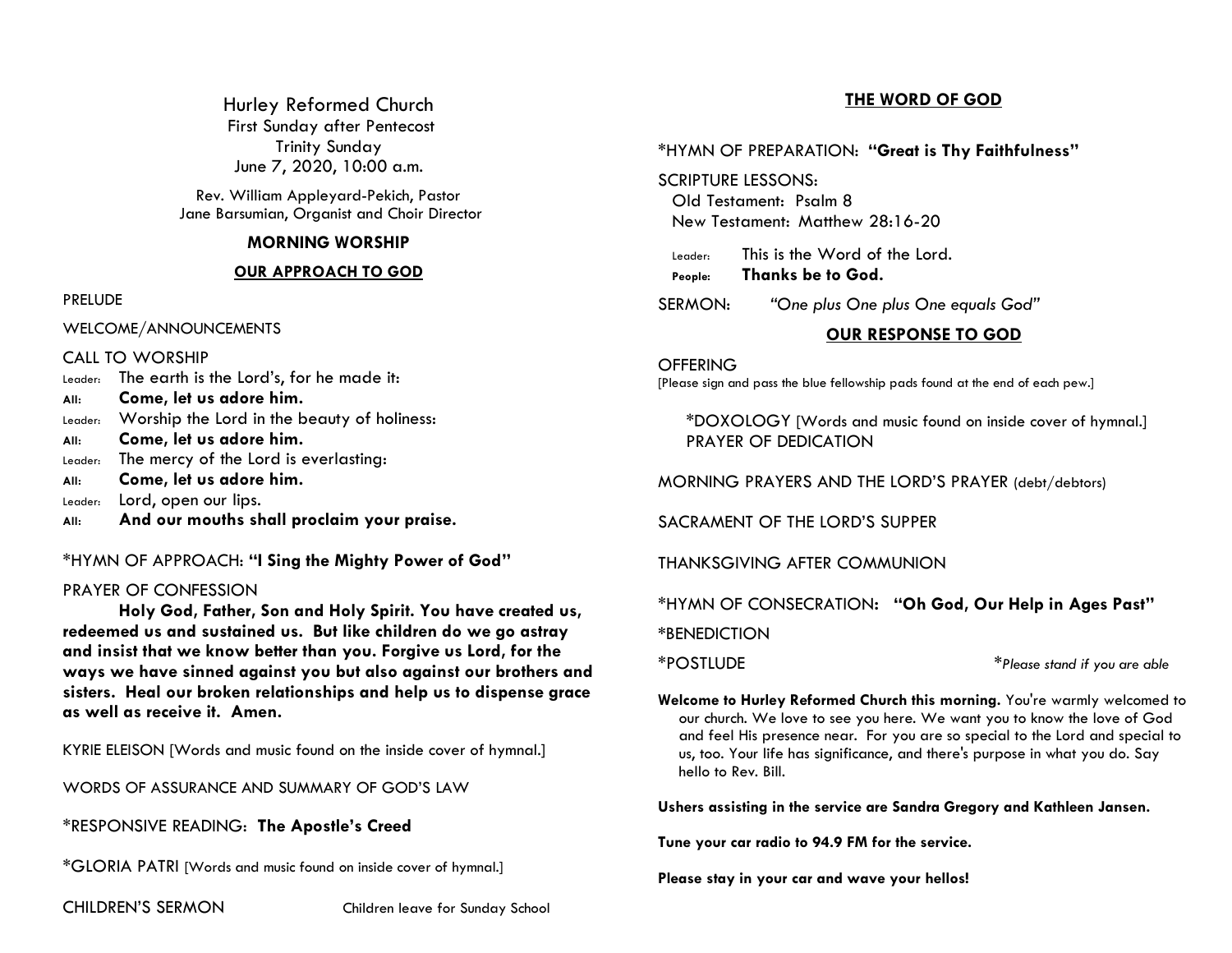Hurley Reformed Church First Sunday after Pentecost Trinity Sunday June 7, 2020, 10:00 a.m.

Rev. William Appleyard-Pekich, Pastor Jane Barsumian, Organist and Choir Director

## **MORNING WORSHIP**

### **OUR APPROACH TO GOD**

PRELUDE

WELCOME/ANNOUNCEMENTS

CALL TO WORSHIP

- Leader: The earth is the Lord's, for he made it:
- **All: Come, let us adore him.**
- Leader: Worship the Lord in the beauty of holiness:
- **All: Come, let us adore him.**
- Leader: The mercy of the Lord is everlasting:
- **All: Come, let us adore him.**
- Leader: Lord, open our lips.
- **All: And our mouths shall proclaim your praise.**

\*HYMN OF APPROACH: **"I Sing the Mighty Power of God"**

## PRAYER OF CONFESSION

**Holy God, Father, Son and Holy Spirit. You have created us, redeemed us and sustained us. But like children do we go astray and insist that we know better than you. Forgive us Lord, for the ways we have sinned against you but also against our brothers and sisters. Heal our broken relationships and help us to dispense grace as well as receive it. Amen.**

KYRIE ELEISON [Words and music found on the inside cover of hymnal.]

WORDS OF ASSURANCE AND SUMMARY OF GOD'S LAW

\*RESPONSIVE READING: **The Apostle's Creed**

\*GLORIA PATRI [Words and music found on inside cover of hymnal.]

CHILDREN'S SERMON Children leave for Sunday School

# **THE WORD OF GOD**

## \*HYMN OF PREPARATION: **"Great is Thy Faithfulness"**

SCRIPTURE LESSONS: Old Testament: Psalm 8 New Testament: Matthew 28:16-20

Leader: This is the Word of the Lord.

**People: Thanks be to God.**

SERMON: *"One plus One plus One equals God"*

# **OUR RESPONSE TO GOD**

**OFFERING** [Please sign and pass the blue fellowship pads found at the end of each pew.]

\*DOXOLOGY [Words and music found on inside cover of hymnal.] PRAYER OF DEDICATION

MORNING PRAYERS AND THE LORD'S PRAYER (debt/debtors)

SACRAMENT OF THE LORD'S SUPPER

THANKSGIVING AFTER COMMUNION

\*HYMN OF CONSECRATION**: "Oh God, Our Help in Ages Past"**

**\***BENEDICTION

\*POSTLUDE \**Please stand if you are able*

**Welcome to Hurley Reformed Church this morning.** You're warmly welcomed to our church. We love to see you here. We want you to know the love of God and feel His presence near. For you are so special to the Lord and special to us, too. Your life has significance, and there's purpose in what you do. Say hello to Rev. Bill.

**Ushers assisting in the service are Sandra Gregory and Kathleen Jansen.**

**Tune your car radio to 94.9 FM for the service.**

**Please stay in your car and wave your hellos!**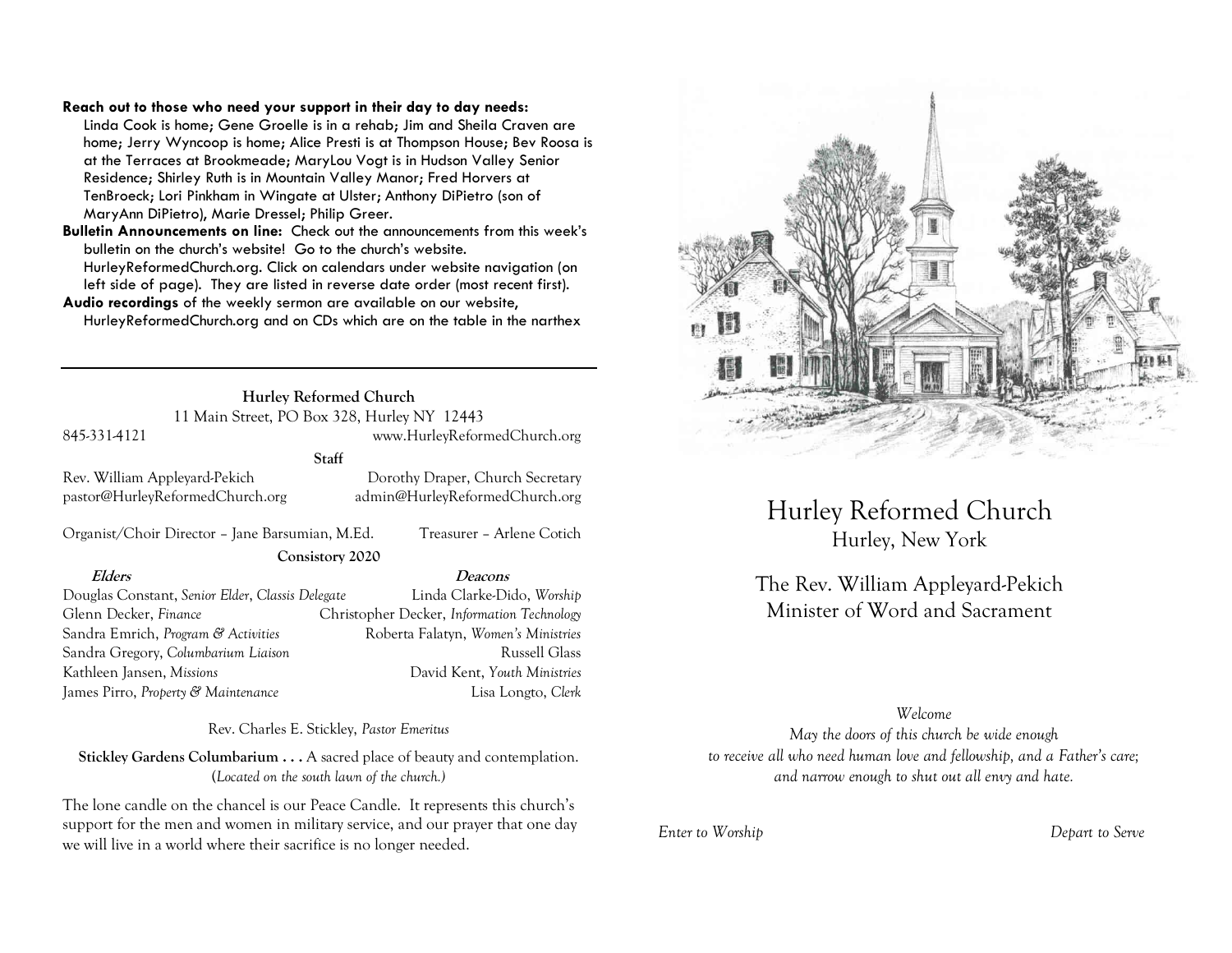### **Reach out to those who need your support in their day to day needs:**

Linda Cook is home; Gene Groelle is in a rehab; Jim and Sheila Craven are home; Jerry Wyncoop is home; Alice Presti is at Thompson House; Bev Roosa is at the Terraces at Brookmeade; MaryLou Vogt is in Hudson Valley Senior Residence; Shirley Ruth is in Mountain Valley Manor; Fred Horvers at TenBroeck; Lori Pinkham in Wingate at Ulster; Anthony DiPietro (son of MaryAnn DiPietro), Marie Dressel; Philip Greer.

**Bulletin Announcements on line:** Check out the announcements from this week's bulletin on the church's website! Go to the church's website. HurleyReformedChurch.org. Click on calendars under website navigation (on left side of page). They are listed in reverse date order (most recent first).

**Audio recordings** of the weekly sermon are available on our website, HurleyReformedChurch.org and on CDs which are on the table in the narthex

> **Hurley Reformed Church** 11 Main Street, PO Box 328, Hurley NY 12443

### 845-331-4121 www.HurleyReformedChurch.org

### **Staff**

pastor@HurleyReformedChurch.org admin@HurleyReformedChurch.org

Rev. William Appleyard-Pekich Dorothy Draper, Church Secretary

Organist/Choir Director – Jane Barsumian, M.Ed. Treasurer – Arlene Cotich **Consistory 2020**

**Elders Deacons**

Douglas Constant, *Senior Elder*, *Classis Delegate* Linda Clarke-Dido, *Worship* Glenn Decker, *Finance* Christopher Decker, *Information Technology* Sandra Emrich, *Program & Activities* Roberta Falatyn, *Women's Ministries* Sandra Gregory, *Columbarium Liaison* **Russell Glass** Russell Glass Kathleen Jansen, *Missions* David Kent, *Youth Ministries* James Pirro, *Property & Maintenance* Lisa Longto, *Clerk*

Rev. Charles E. Stickley, *Pastor Emeritus*

**Stickley Gardens Columbarium . . .** A sacred place of beauty and contemplation. (*Located on the south lawn of the church.)* 

The lone candle on the chancel is our Peace Candle. It represents this church's support for the men and women in military service, and our prayer that one day we will live in a world where their sacrifice is no longer needed.



Hurley Reformed Church Hurley, New York

The Rev. William Appleyard-Pekich Minister of Word and Sacrament

### *Welcome*

*May the doors of this church be wide enough to receive all who need human love and fellowship, and a Father's care; and narrow enough to shut out all envy and hate.*

*Enter to Worship Depart to Serve*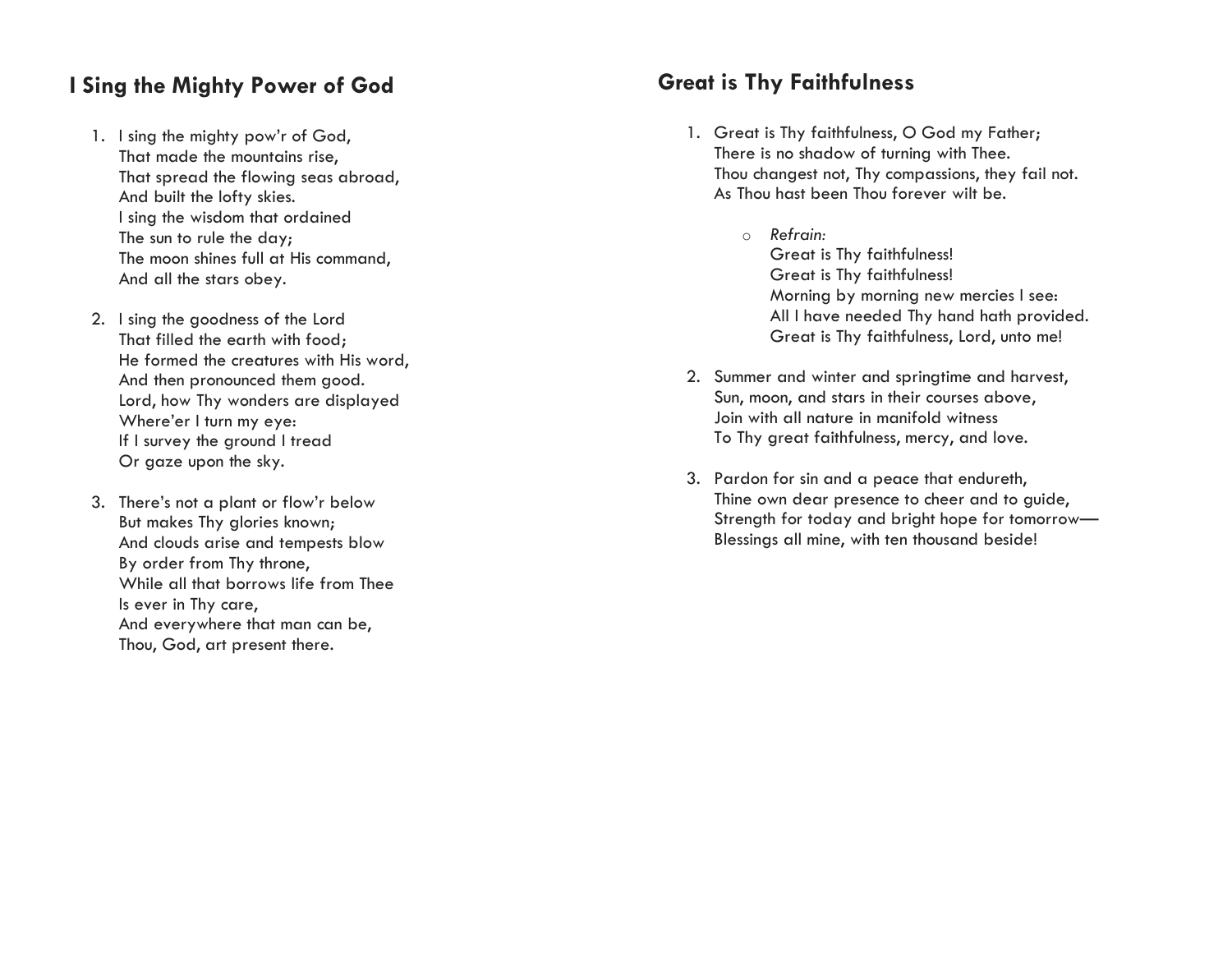# **I Sing the Mighty Power of God**

- 1. I sing the mighty pow'r of God, That made the mountains rise, That spread the flowing seas abroad, And built the lofty skies. <sup>I</sup> sing the wisdom that ordained The sun to rule the day; The moon shines full at His command, And all the stars obey.
- 2. I sing the goodness of the Lord That filled the earth with food; He formed the creatures with His word, And then pronounced them good. Lord, how Thy wonders are displayed Where'er I turn my eye: If I survey the ground I tread Or gaze upon the sky.
- 3. There's not a plant or flow'r below But makes Thy glories known; And clouds arise and tempests blow By order from Thy throne, While all that borrows life from Thee Is ever in Thy care, And everywhere that man can be, Thou, God, art present there.

# **Great is Thy Faithfulness**

- 1. Great is Thy faithfulness, O God my Father; There is no shadow of turning with Thee. Thou changest not, Thy compassions, they fail not. As Thou hast been Thou forever wilt be.
	- o *Refrain:* Great is Thy faithfulness! Great is Thy faithfulness! Morning by morning new mercies I see: All I have needed Thy hand hath provided. Great is Thy faithfulness, Lord, unto me!
- 2. Summer and winter and springtime and harvest, Sun, moon, and stars in their courses above , Join with all nature in manifold witness To Thy great faithfulness, mercy, and love.
- 3. Pardon for sin and a peace that endureth, Thine own dear presence to cheer and to guide, Strength for today and bright hope for tomorrow — Blessings all mine, with ten thousand beside!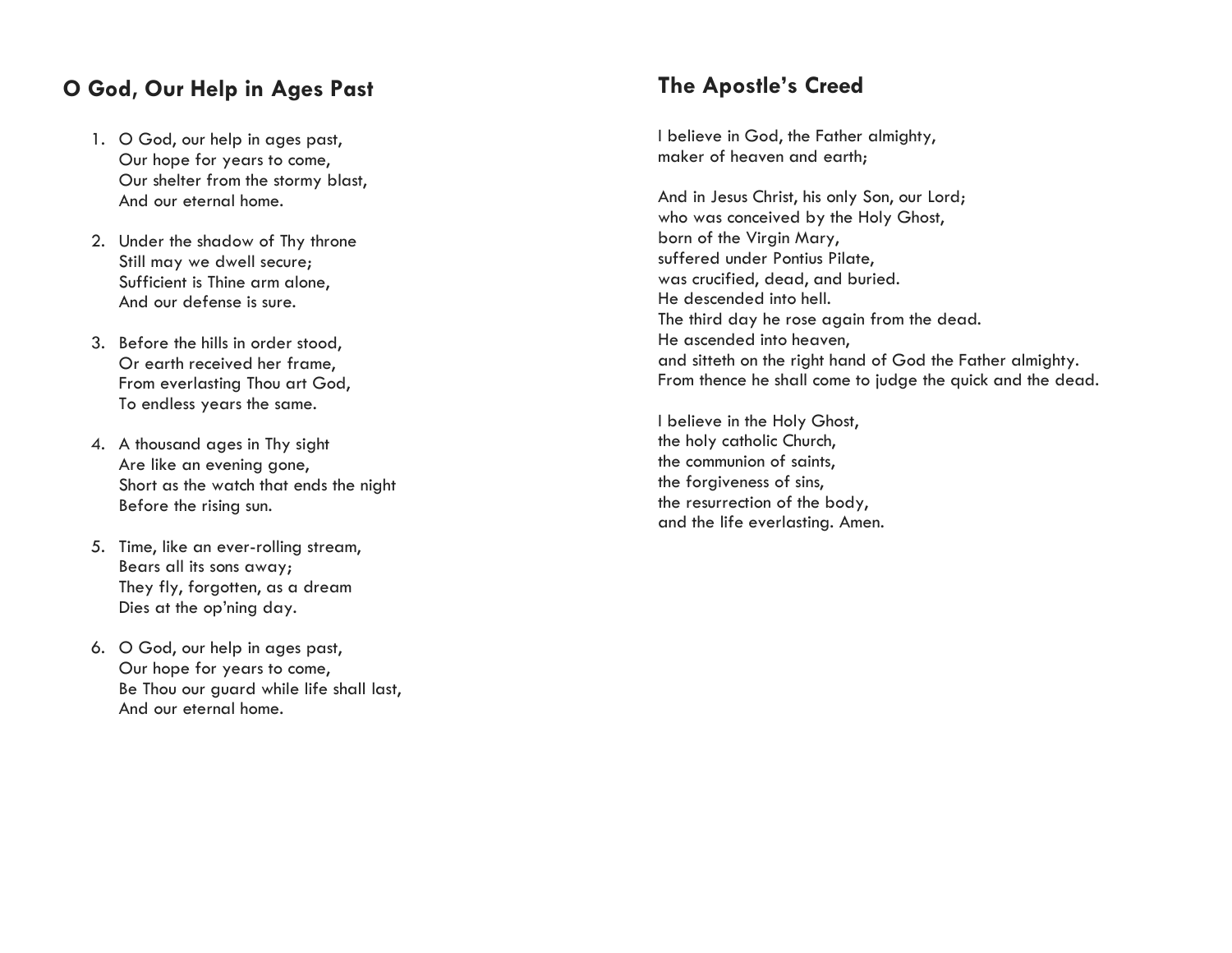# **O God, Our Help in Ages Past**

- 1. O God, our help in ages past, Our hope for years to come, Our shelter from the stormy blast, And our eternal home.
- 2. Under the shadow of Thy throne Still may we dwell secure; Sufficient is Thine arm alone, And our defense is sure.
- 3. Before the hills in order stood, Or earth received her frame, From everlasting Thou art God, To endless years the same.
- 4. A thousand ages in Thy sight Are like an evening gone, Short as the watch that ends the night Before the rising sun.
- 5. Time, like an ever -rolling stream, Bears all its sons away; They fly, forgotten, as a dream Dies at the op'ning day.
- 6. O God, our help in ages past, Our hope for years to come, Be Thou our guard while life shall last, And our eternal home.

# **The Apostle's Creed**

I believe in God, the Father almighty, maker of heaven and earth;

And in Jesus Christ, his only Son, our Lord; who was conceived by the Holy Ghost, born of the Virgin Mary, suffered under Pontius Pilate, was crucified, dead, and buried. He descended into hell. The third day he rose again from the dead. He ascended into heaven, and sitteth on the right hand of God the Father almighty. From thence he shall come to judge the quick and the dead.

I believe in the Holy Ghost, the holy catholic Church, the communion of saints, the forgiveness of sins, the resurrection of the body, and the life everlasting. Amen.